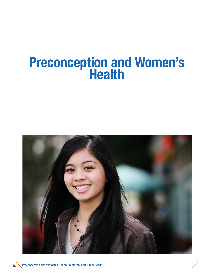# Preconception and Women's Health

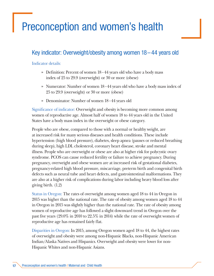# Preconception and women's health

## Key indicator: Overweight/obesity among women 18–44 years old

#### Indicator details:

- » Definition: Percent of women 18−44 years old who have a body mass index of 25 to 29.9 (overweight) or 30 or more (obese)
- » Numerator: Number of women 18−44 years old who have a body mass index of 25 to 29.9 (overweight) or 30 or more (obese)
- » Denominator: Number of women 18−44 years old

Significance of indicator: Overweight and obesity is becoming more common among women of reproductive age. Almost half of women 18 to 44 years old in the United States have a body mass index in the overweight or obese category.

People who are obese, compared to those with a normal or healthy weight, are at increased risk for many serious diseases and health conditions. These include hypertension (high blood pressure), diabetes, sleep apnea (pauses or reduced breathing during sleep), high LDL cholesterol, coronary heart disease, stroke and mental illness. People who are overweight or obese are also at higher risk for polycystic ovary syndrome. PCOS can cause reduced fertility or failure to achieve pregnancy. During pregnancy, overweight and obese women are at increased risk of gestational diabetes, pregnancy-related high blood pressure, miscarriage, preterm birth and congenital birth defects such as neural tube and heart defects, and gastrointestinal malformations. They are also at a higher risk of complications during labor including heavy blood loss after giving birth. (1,2)

Status in Oregon: The rates of overweight among women aged 18 to 44 in Oregon in 2015 was higher than the national rate. The rate of obesity among women aged 18 to 44 in Oregon in 2015 was slightly higher than the national rate. The rate of obesity among women of reproductive age has followed a slight downward trend in Oregon over the past five years (29.0% in 2010 to 22.5% in 2014) while the rate of overweight women of reproductive age has remained fairly flat.

Disparities in Oregon: In 2015, among Oregon women aged 18 to 44, the highest rates of overweight and obesity were among non-Hispanic Blacks, non-Hispanic American Indian/Alaska Natives and Hispanics. Overweight and obesity were lower for non-Hispanic Whites and non-Hispanic Asians.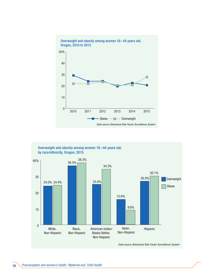



*Data source: Behavioral Risk Factor Surveillance System*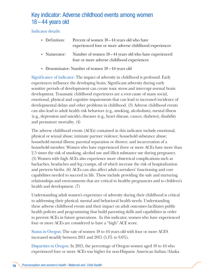### Key indicator: Adverse childhood events among women 18–44 years old

Indicator details:

| » Definition: | Percent of women 18–44 years old who have<br>experienced four or more adverse childhood experiences             |
|---------------|-----------------------------------------------------------------------------------------------------------------|
|               | » Numerator: Number of women 18–44 years old who have experienced<br>four or more adverse childhood experiences |

» Denominator: Number of women 18 – 44 years old

Significance of indicator: The impact of adversity in childhood is profound. Early experiences influence the developing brain. Significant adversity during early sensitive periods of developmnent can create toxic stress and interrupt normal brain development. Traumatic childhood experiences are a root cause of many social, emotional, physical and cognitive impairments that can lead to increased incidence of developmental delays and other problems in childhood. (3) Adverse childhood events can also lead to adult health risk behaviors (e.g., smoking, alcoholism), mental illness (e.g., depression and suicide), diseases (e.g., heart disease, cancer, diabetes), disability and premature mortality. (4)

The adverse childhood events (ACEs) contained in this indicator include emotional, physical or sexual abuse; intimate partner violence; household substance abuse; household mental illness; parental separation or divorce; and incarceration of a household member. Women who have experienced three or more ACEs have more than 2.5 times the risk of smoking, alcohol use and illicit substance use during pregnancy. (5) Women with high ACEs also experience more obstetrical complications such as backaches, headaches and leg cramps, all of which increase the risk of hospitalization and preterm births. (6) ACEs can also affect adult caretakers' functioning and core capabilities needed to succeed in life. These include providing the safe and nurturing relationships and environments that are critical to healthy pregnancies and to children's health and development. (7)

Understanding adult women's experience of adversity during their childhood is critical to addressing their physical, mental and behavioral health needs. Understanding these adverse childhood events and their impact on adult outcomes facilitates public health policies and programming that build parenting skills and capabilities in order to prevent ACEs in future generations. In this indicator, women who have experienced four or more ACEs are considered to have a "high" ACE score.

Status in Oregon: The rate of women 18 to 44 years old with four or more ACES increased steadily between 2011 and 2015 (5.1% to 9.6%).

Disparities in Oregon: In 2015, the percentage of Oregon women aged 18 to 44 who experienced four or more ACEs was higher for non-Hispanic American Indian/Alaska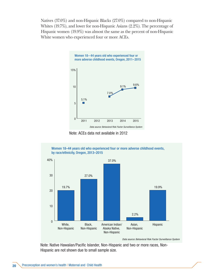Natives (37.0%) and non-Hispanic Blacks (27.0%) compared to non-Hispanic Whites (19.7%), and lower for non-Hispanic Asians (2.2%). The percentage of Hispanic women (19.9%) was almost the same as the percent of non-Hispanic White women who experienced four or more ACEs.







*Data source: Behavioral Risk Factor Surveillance System*

Note: Native Hawaiian/Pacific Islander, Non-Hispanic and two or more races, Non-Hispanic are not shown due to small sample size.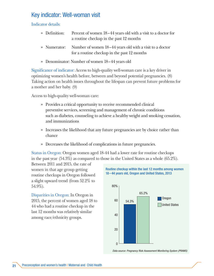#### Key indicator: Well-woman visit

Indicator details:

| » Definition: | Percent of women 18–44 years old with a visit to a doctor for<br>a routine checkup in the past 12 months             |
|---------------|----------------------------------------------------------------------------------------------------------------------|
|               | » Numerator: Number of women 18–44 years old with a visit to a doctor<br>for a routine checkup in the past 12 months |

» Denominator: Number of women 18–44 years old

Significance of indicator: Access to high-quality well-woman care is a key driver in optimizing women's health before, between and beyond potential pregnancies. (8) Taking action on health issues throughout the lifespan can prevent future problems for a mother and her baby. (9)

Access to high-quality well-woman care:

- » Provides a critical opportunity to receive recommended clinical preventive services, screening and management of chronic conditions such as diabetes, counseling to achieve a healthy weight and smoking cessation, and immunizations
- » Increases the likelihood that any future pregnancies are by choice rather than chance
- » Decreases the likelihood of complications in future pregnancies.

Status in Oregon: Oregon women aged 18-44 had a lower rate for routine checkups in the past year (54.3%) as compared to those in the United States as a whole (65.2%).

Between 2011 and 2015, the rate of women in that age group getting routine checkups in Oregon followed a slight upward trend (from 52.2% to 54.9%).

Disparities in Oregon: In Oregon in 2015, the percent of women aged 18 to 44 who had a routine checkup in the last 12 months was relatively similar among race/ethnicity groups.



*Data source: Pregnancy Risk Assessment Monitoring System (PRAMS)*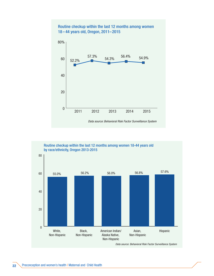

#### 0 20 40 60 80 Asian, Hispanic Non-Hispanic American Indian/ Alaska Native, Non-Hispanic Black, Non-Hispanic White, Non-Hispanic 55.0% 56.2% 56.0% 56.8% 57.6% Routine checkup within the last 12 months among women 18-44 years old by race/ethnicity, Oregon 2013-2015

*Data source: Behavioral Risk Factor Surveillance System*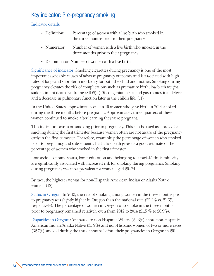#### Key indicator: Pre-pregnancy smoking

Indicator details:

- » Definition: Percentage of women with a live birth who smoked in the three months prior to their pregnancy
- » Numerator: Number of women with a live birth who smoked in the three months prior to their pregnancy
- » Denominator: Number of women with a live birth

Significance of indicator: Smoking cigarettes during pregnancy is one of the most important avoidable causes of adverse pregnancy outcomes and is associated with high rates of long- and short-term morbidity for both the child and mother. Smoking during pregnancy elevates the risk of complications such as premature birth, low birth weight, sudden infant death syndrome (SIDS), (10) congenital heart and gastrointestinal defects and a decrease in pulmonary function later in the child's life. (11)

In the United States, approximately one in 10 women who gave birth in 2014 smoked during the three months before pregnancy. Approximately three-quarters of these women continued to smoke after learning they were pregnant.

This indicator focuses on smoking prior to pregnancy. This can be used as a proxy for smoking during the first trimester because women often are not aware of the pregnancy early in the first trimester. Therefore, examining the percentage of women who smoked prior to pregnancy and subsequently had a live birth gives us a good estimate of the percentage of women who smoked in the first trimester.

Low socio-economic status, lower education and belonging to a racial/ethnic minority are significantly associated with increased risk for smoking during pregnancy. Smoking during pregnancy was most prevalent for women aged 20–24.

By race, the highest rate was for non-Hispanic American Indian or Alaska Native women. (12)

Status in Oregon: In 2013, the rate of smoking among women in the three months prior to pregnancy was slightly higher in Oregon than the national rate (22.2% vs. 21.3%, respectively). The percentage of women in Oregon who smoke in the three months prior to pregnancy remained relatively even from 2012 to 2014 (21.5 % to 20.9%).

Disparities in Oregon: Compared to non-Hispanic Whites (24.3%), more non-Hispanic American Indian/Alaska Native (35.9%) and non-Hispanic women of two or more races (32.7%) smoked during the three months before their pregnancies in Oregon in 2014.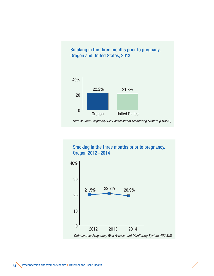

Smoking in the three months prior to pregnancy, Oregon 2012–2014